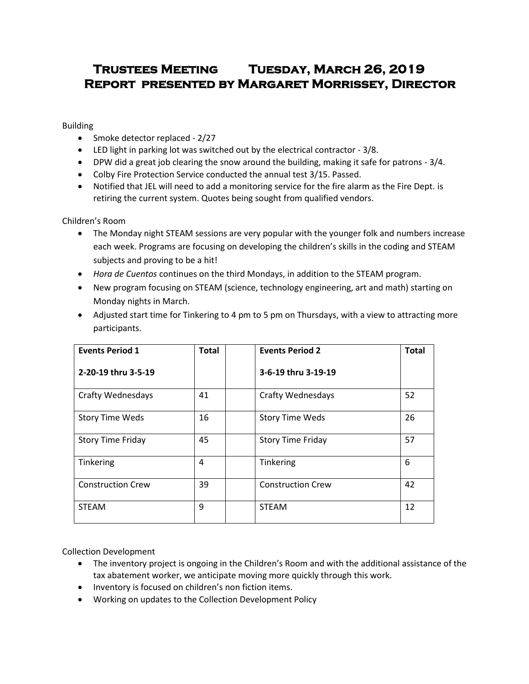## **Trustees Meeting Tuesday, March 26, 2019 Report presented by Margaret Morrissey, Director**

Building

- Smoke detector replaced 2/27
- LED light in parking lot was switched out by the electrical contractor 3/8.
- DPW did a great job clearing the snow around the building, making it safe for patrons 3/4.
- Colby Fire Protection Service conducted the annual test 3/15. Passed.
- Notified that JEL will need to add a monitoring service for the fire alarm as the Fire Dept. is retiring the current system. Quotes being sought from qualified vendors.

Children's Room

- The Monday night STEAM sessions are very popular with the younger folk and numbers increase each week. Programs are focusing on developing the children's skills in the coding and STEAM subjects and proving to be a hit!
- *Hora de Cuentos* continues on the third Mondays, in addition to the STEAM program.
- New program focusing on STEAM (science, technology engineering, art and math) starting on Monday nights in March.
- Adjusted start time for Tinkering to 4 pm to 5 pm on Thursdays, with a view to attracting more participants.

| <b>Events Period 1</b>   | <b>Total</b> | <b>Events Period 2</b>   | <b>Total</b> |
|--------------------------|--------------|--------------------------|--------------|
| 2-20-19 thru 3-5-19      |              | 3-6-19 thru 3-19-19      |              |
| <b>Crafty Wednesdays</b> | 41           | <b>Crafty Wednesdays</b> | 52           |
| <b>Story Time Weds</b>   | 16           | <b>Story Time Weds</b>   | 26           |
| <b>Story Time Friday</b> | 45           | <b>Story Time Friday</b> | 57           |
| Tinkering                | 4            | Tinkering                | 6            |
| <b>Construction Crew</b> | 39           | <b>Construction Crew</b> | 42           |
| <b>STEAM</b>             | 9            | <b>STEAM</b>             | 12           |

Collection Development

- The inventory project is ongoing in the Children's Room and with the additional assistance of the tax abatement worker, we anticipate moving more quickly through this work.
- Inventory is focused on children's non fiction items.
- Working on updates to the Collection Development Policy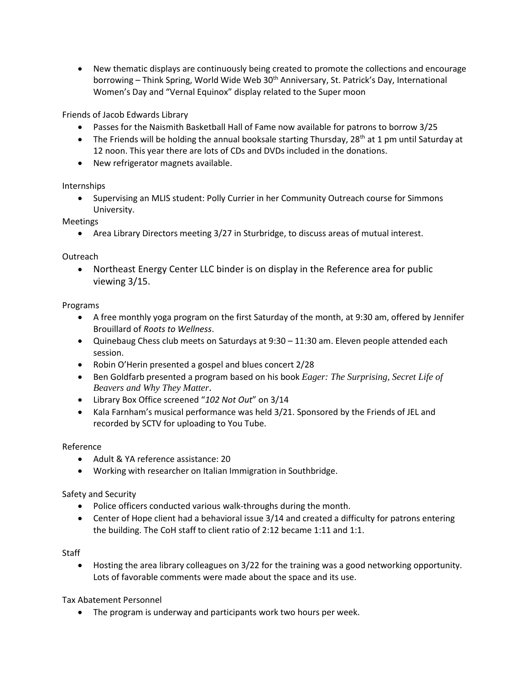New thematic displays are continuously being created to promote the collections and encourage borrowing - Think Spring, World Wide Web 30<sup>th</sup> Anniversary, St. Patrick's Day, International Women's Day and "Vernal Equinox" display related to the Super moon

Friends of Jacob Edwards Library

- Passes for the Naismith Basketball Hall of Fame now available for patrons to borrow 3/25
- The Friends will be holding the annual booksale starting Thursday,  $28<sup>th</sup>$  at 1 pm until Saturday at 12 noon. This year there are lots of CDs and DVDs included in the donations.
- New refrigerator magnets available.

Internships

• Supervising an MLIS student: Polly Currier in her Community Outreach course for Simmons University.

Meetings

Area Library Directors meeting 3/27 in Sturbridge, to discuss areas of mutual interest.

**Outreach** 

 Northeast Energy Center LLC binder is on display in the Reference area for public viewing 3/15.

Programs

- A free monthly yoga program on the first Saturday of the month, at 9:30 am, offered by Jennifer Brouillard of *Roots to Wellness*.
- Quinebaug Chess club meets on Saturdays at 9:30 11:30 am. Eleven people attended each session.
- Robin O'Herin presented a gospel and blues concert 2/28
- Ben Goldfarb presented a program based on his book *Eager: The [Surprising,](https://www.amazon.com/Eager-Surprising-Secret-Beavers-Matter/dp/160358739X/ref=sr_1_6?ie=UTF8&qid=1512586233&sr=8-6&keywords=eager+beaver) Secret Life of [Beavers](https://www.amazon.com/Eager-Surprising-Secret-Beavers-Matter/dp/160358739X/ref=sr_1_6?ie=UTF8&qid=1512586233&sr=8-6&keywords=eager+beaver) and Why They Matter.*
- Library Box Office screened "*102 Not Out*" on 3/14
- Kala Farnham's musical performance was held 3/21. Sponsored by the Friends of JEL and recorded by SCTV for uploading to You Tube.

Reference

- Adult & YA reference assistance: 20
- Working with researcher on Italian Immigration in Southbridge.

Safety and Security

- Police officers conducted various walk-throughs during the month.
- Center of Hope client had a behavioral issue 3/14 and created a difficulty for patrons entering the building. The CoH staff to client ratio of 2:12 became 1:11 and 1:1.

**Staff** 

 Hosting the area library colleagues on 3/22 for the training was a good networking opportunity. Lots of favorable comments were made about the space and its use.

Tax Abatement Personnel

The program is underway and participants work two hours per week.